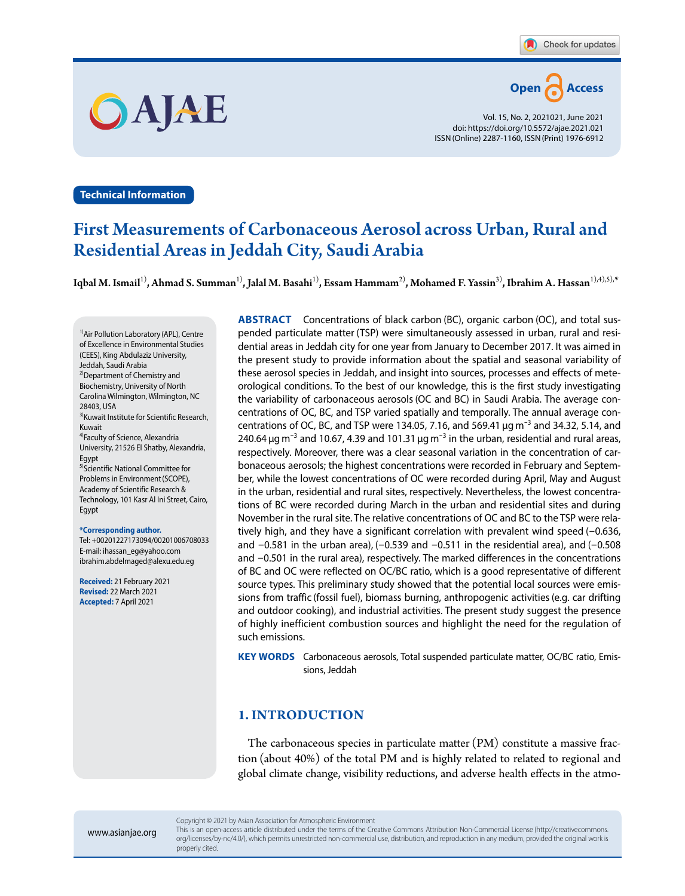

Vol. 15, No. 2, 2021021, June 2021 doi: https://doi.org/10.5572/ajae.2021.021 ISSN(Online) 2287-1160, ISSN(Print) 1976-6912

**Technical Information**

OAAE

# First Measurements of Carbonaceous Aerosol across Urban, Rural and Residential Areas in Jeddah City, Saudi Arabia

Iqbal M. Ismail<sup>1)</sup>, Ahmad S. Summan<sup>1)</sup>, Jalal M. Basahi<sup>1)</sup>, Essam Hammam<sup>2)</sup>, Mohamed F. Yassin<sup>3)</sup>, Ibrahim A. Hassan<sup>1),4),5),\*</sup>

<sup>1)</sup>Air Pollution Laboratory (APL), Centre of Excellence in Environmental Studies (CEES), King Abdulaziz University, Jeddah, Saudi Arabia 2)Department of Chemistry and Biochemistry, University of North Carolina Wilmington, Wilmington, NC 28403, USA <sup>3)</sup>Kuwait Institute for Scientific Research, Kuwait 4)Faculty of Science, Alexandria University, 21526 El Shatby, Alexandria, Egypt 5)Scientific National Committee for Problems in Environment(SCOPE), Academy of Scientific Research & Technology, 101 Kasr Al Ini Street, Cairo, Egypt

**\*Corresponding author.** Tel: +00201227173094/00201006708033 E-mail: ihassan\_eg@yahoo.com ibrahim.abdelmaged@alexu.edu.eg

**Received:** 21 February 2021 **Revised:** 22 March 2021 **Accepted:** 7 April 2021

**ABSTRACT** Concentrations of black carbon (BC), organic carbon (OC), and total suspended particulate matter (TSP) were simultaneously assessed in urban, rural and residential areas in Jeddah city for one year from January to December 2017. It was aimed in the present study to provide information about the spatial and seasonal variability of these aerosol species in Jeddah, and insight into sources, processes and effects of meteorological conditions. To the best of our knowledge, this is the first study investigating the variability of carbonaceous aerosols (OC and BC) in Saudi Arabia. The average concentrations of OC, BC, and TSP varied spatially and temporally. The annual average concentrations of OC, BC, and TSP were 134.05, 7.16, and 569.41  $\mu$ g m<sup>-3</sup> and 34.32, 5.14, and 240.64  $\mu$ g m<sup>-3</sup> and 10.67, 4.39 and 101.31  $\mu$ g m<sup>-3</sup> in the urban, residential and rural areas, respectively. Moreover, there was a clear seasonal variation in the concentration of carbonaceous aerosols; the highest concentrations were recorded in February and September, while the lowest concentrations of OC were recorded during April, May and August in the urban, residential and rural sites, respectively. Nevertheless, the lowest concentrations of BC were recorded during March in the urban and residential sites and during November in the rural site. The relative concentrations of OC and BC to the TSP were relatively high, and they have a significant correlation with prevalent wind speed (-0.636, and  $-0.581$  in the urban area),  $(-0.539$  and  $-0.511$  in the residential area), and  $(-0.508$ and -0.501 in the rural area), respectively. The marked differences in the concentrations of BC and OC were reflected on OC/BC ratio, which is a good representative of different source types. This preliminary study showed that the potential local sources were emissions from traffic (fossil fuel), biomass burning, anthropogenic activities(e.g. car drifting and outdoor cooking), and industrial activities. The present study suggest the presence of highly inefficient combustion sources and highlight the need for the regulation of such emissions.

**KEY WORDS** Carbonaceous aerosols, Total suspended particulate matter, OC/BC ratio, Emissions, Jeddah

## **1. INTRODUCTION**

The carbonaceous species in particulate matter (PM) constitute a massive fraction (about 40%) of the total PM and is highly related to related to regional and global climate change, visibility reductions, and adverse health effects in the atmo-

This is an open-access article distributed under the terms of the Creative Commons Attribution Non-Commercial License (http://creativecommons. org/licenses/by-nc/4.0/), which permits unrestricted non-commercial use, distribution, and reproduction in any medium, provided the original work is properly cited.

Copyright © 2021 by Asian Association for Atmospheric Environment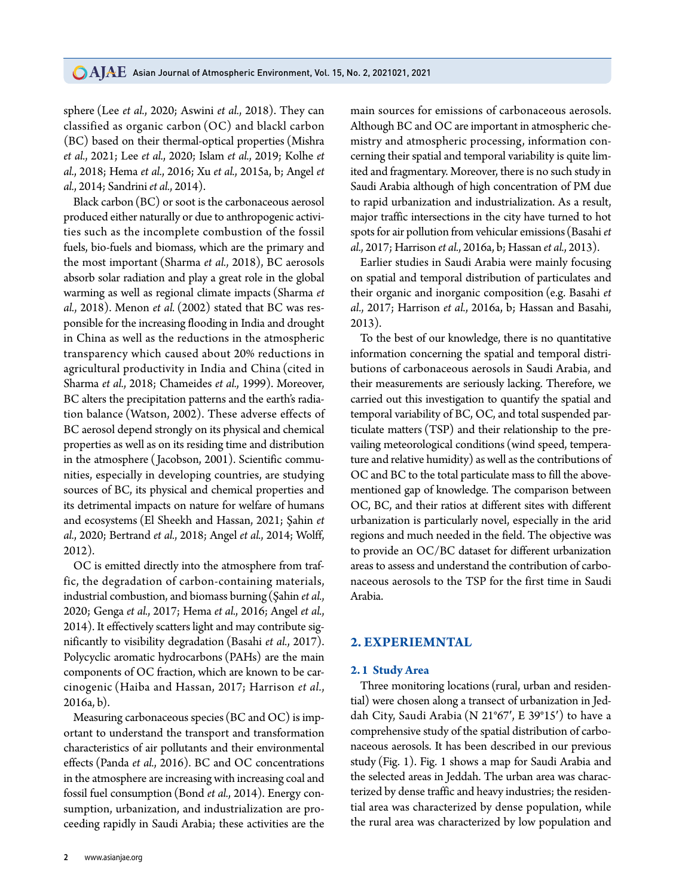sphere (Lee *et al.*, 2020; Aswini *et al.*, 2018). They can classified as organic carbon (OC) and blackl carbon (BC) based on their thermal-optical properties (Mishra *et al.*, 2021; Lee *et al.*, 2020; Islam *et al.*, 2019; Kolhe *et al.*, 2018; Hema *et al.*, 2016; Xu *et al.*, 2015a, b; Angel *et al.*, 2014; Sandrini *et al.*, 2014).

Black carbon(BC) or soot is the carbonaceous aerosol produced either naturally or due to anthropogenic activities such as the incomplete combustion of the fossil fuels, bio-fuels and biomass, which are the primary and the most important (Sharma *et al.*, 2018), BC aerosols absorb solar radiation and play a great role in the global warming as well as regional climate impacts (Sharma *et al.*, 2018). Menon *et al.* (2002) stated that BC was responsible for the increasing flooding in India and drought in China as well as the reductions in the atmospheric transparency which caused about 20% reductions in agricultural productivity in India and China (cited in Sharma *et al.*, 2018; Chameides *et al.*, 1999). Moreover, BC alters the precipitation patterns and the earth's radiation balance (Watson, 2002). These adverse effects of BC aerosol depend strongly on its physical and chemical properties as well as on its residing time and distribution in the atmosphere ( Jacobson, 2001). Scientific communities, especially in developing countries, are studying sources of BC, its physical and chemical properties and its detrimental impacts on nature for welfare of humans and ecosystems (El Sheekh and Hassan, 2021; Şahin *et al.*, 2020; Bertrand *et al.*, 2018; Angel *et al.*, 2014; Wolff, 2012).

OC is emitted directly into the atmosphere from traffic, the degradation of carbon-containing materials, industrial combustion, and biomass burning (Şahin *et al.*, 2020; Genga *et al.*, 2017; Hema *et al.*, 2016; Angel *et al.*, 2014). It effectively scatters light and may contribute significantly to visibility degradation (Basahi *et al.*, 2017). Polycyclic aromatic hydrocarbons (PAHs) are the main components of OC fraction, which are known to be carcinogenic (Haiba and Hassan, 2017; Harrison *et al.*, 2016a, b).

Measuring carbonaceous species (BC and OC) is important to understand the transport and transformation characteristics of air pollutants and their environmental effects (Panda *et al.*, 2016). BC and OC concentrations in the atmosphere are increasing with increasing coal and fossil fuel consumption (Bond *et al.*, 2014). Energy consumption, urbanization, and industrialization are proceeding rapidly in Saudi Arabia; these activities are the main sources for emissions of carbonaceous aerosols. Although BC and OC are important in atmospheric chemistry and atmospheric processing, information concerning their spatial and temporal variability is quite limited and fragmentary. Moreover, there is no such study in Saudi Arabia although of high concentration of PM due to rapid urbanization and industrialization. As a result, major traffic intersections in the city have turned to hot spots for air pollution from vehicular emissions (Basahi *et al.*, 2017; Harrison *et al.*, 2016a, b; Hassan *et al.*, 2013).

Earlier studies in Saudi Arabia were mainly focusing on spatial and temporal distribution of particulates and their organic and inorganic composition (e.g. Basahi *et al.*, 2017; Harrison *et al.*, 2016a, b; Hassan and Basahi, 2013).

To the best of our knowledge, there is no quantitative information concerning the spatial and temporal distributions of carbonaceous aerosols in Saudi Arabia, and their measurements are seriously lacking. Therefore, we carried out this investigation to quantify the spatial and temporal variability of BC, OC, and total suspended particulate matters (TSP) and their relationship to the prevailing meteorological conditions (wind speed, temperature and relative humidity) as well as the contributions of OC and BC to the total particulate mass to fill the abovementioned gap of knowledge. The comparison between OC, BC, and their ratios at different sites with different urbanization is particularly novel, especially in the arid regions and much needed in the field. The objective was to provide an OC/BC dataset for different urbanization areas to assess and understand the contribution of carbonaceous aerosols to the TSP for the first time in Saudi Arabia.

## **2. EXPERIEMNTAL**

#### **2.1 Study Area**

Three monitoring locations (rural, urban and residential) were chosen along a transect of urbanization in Jeddah City, Saudi Arabia (N 21°67′, E 39°15′) to have a comprehensive study of the spatial distribution of carbonaceous aerosols. It has been described in our previous study (Fig. 1). Fig. 1 shows a map for Saudi Arabia and the selected areas in Jeddah. The urban area was characterized by dense traffic and heavy industries; the residential area was characterized by dense population, while the rural area was characterized by low population and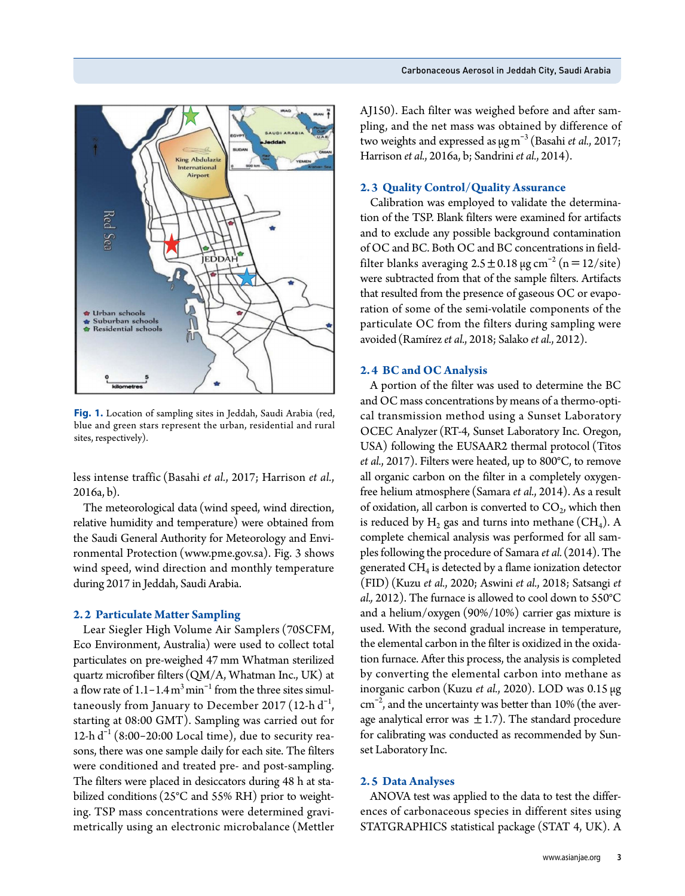

**Fig. 1.** Location of sampling sites in Jeddah, Saudi Arabia (red, blue and green stars represent the urban, residential and rural sites, respectively).

less intense traffic (Basahi *et al.*, 2017; Harrison *et al.*, 2016a, b).

The meteorological data (wind speed, wind direction, relative humidity and temperature) were obtained from the Saudi General Authority for Meteorology and Environmental Protection (www.pme.gov.sa). Fig. 3 shows wind speed, wind direction and monthly temperature during 2017 in Jeddah, Saudi Arabia.

#### **2.2 Particulate Matter Sampling**

Lear Siegler High Volume Air Samplers (70SCFM, Eco Environment, Australia) were used to collect total particulates on pre-weighed 47 mm Whatman sterilized quartz microfiber filters (QM/A, Whatman Inc., UK) at a flow rate of  $1.1 - 1.4 \text{ m}^3 \text{ min}^{-1}$  from the three sites simultaneously from January to December 2017 (12-h  $d^{-1}$ , starting at 08:00 GMT). Sampling was carried out for 12-h  $d^{-1}$  (8:00-20:00 Local time), due to security reasons, there was one sample daily for each site. The filters were conditioned and treated pre- and post-sampling. The filters were placed in desiccators during 48 h at stabilized conditions (25°C and 55% RH) prior to weighting. TSP mass concentrations were determined gravimetrically using an electronic microbalance (Mettler

AJ150). Each filter was weighed before and after sampling, and the net mass was obtained by difference of two weights and expressed as μgm-3 (Basahi *et al.*, 2017; Harrison *et al.*, 2016a, b; Sandrini *et al.*, 2014).

### **2.3 Quality Control/Quality Assurance**

Calibration was employed to validate the determination of the TSP. Blank filters were examined for artifacts and to exclude any possible background contamination of OC and BC. Both OC and BC concentrations in fieldfilter blanks averaging  $2.5 \pm 0.18 \,\mu g \,\text{cm}^{-2}$  (n = 12/site) were subtracted from that of the sample filters. Artifacts that resulted from the presence of gaseous OC or evaporation of some of the semi-volatile components of the particulate OC from the filters during sampling were avoided(Ramírez *et al.*, 2018; Salako *et al.*, 2012).

#### **2.4 BC and OC Analysis**

A portion of the filter was used to determine the BC and OC mass concentrations by means of a thermo-optical transmission method using a Sunset Laboratory OCEC Analyzer (RT-4, Sunset Laboratory Inc. Oregon, USA) following the EUSAAR2 thermal protocol (Titos *et al.*, 2017). Filters were heated, up to 800°C, to remove all organic carbon on the filter in a completely oxygenfree helium atmosphere (Samara *et al.*, 2014). As a result of oxidation, all carbon is converted to  $CO<sub>2</sub>$ , which then is reduced by  $H_2$  gas and turns into methane (CH<sub>4</sub>). A complete chemical analysis was performed for all samples following the procedure of Samara *et al.* (2014). The generated  $CH<sub>4</sub>$  is detected by a flame ionization detector (FID) (Kuzu *et al.*, 2020; Aswini *et al.*, 2018; Satsangi *et al.,* 2012). The furnace is allowed to cool down to 550°C and a helium/oxygen (90%/10%) carrier gas mixture is used. With the second gradual increase in temperature, the elemental carbon in the filter is oxidized in the oxidation furnace. After this process, the analysis is completed by converting the elemental carbon into methane as inorganic carbon (Kuzu *et al.*, 2020). LOD was 0.15 μg  $\text{cm}^{-2}$ , and the uncertainty was better than 10% (the average analytical error was  $\pm$  1.7). The standard procedure for calibrating was conducted as recommended by Sunset Laboratory Inc.

#### **2.5 Data Analyses**

ANOVA test was applied to the data to test the differences of carbonaceous species in different sites using STATGRAPHICS statistical package (STAT 4, UK). A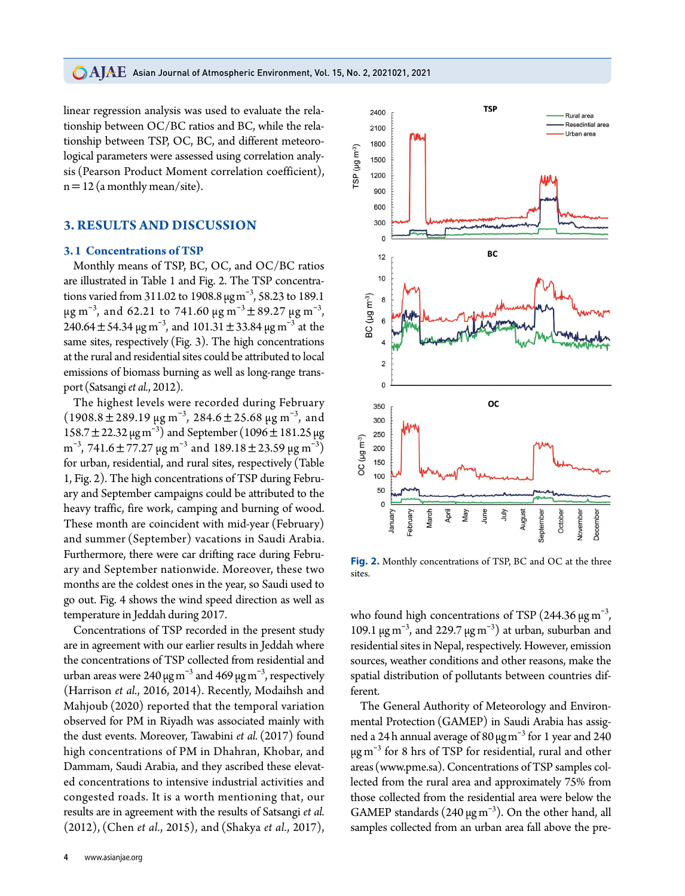linear regression analysis was used to evaluate the relationship between OC/BC ratios and BC, while the relationship between TSP, OC, BC, and different meteorological parameters were assessed using correlation analysis (Pearson Product Moment correlation coefficient),  $n=12$  (a monthly mean/site).

## **3. RESULTS AND DISCUSSION**

### **3.1 Concentrations of TSP**

Monthly means of TSP, BC, OC, and OC/BC ratios are illustrated in Table 1 and Fig. 2. The TSP concentrations varied from 311.02 to 1908.8  $\mu$ g m<sup>-3</sup>, 58.23 to 189.1 μg m<sup>-3</sup>, and 62.21 to 741.60 μg m<sup>-3</sup>  $\pm$  89.27 μg m<sup>-3</sup>, 240.64  $\pm$  54.34  $\mu$ g m<sup>-3</sup>, and 101.31  $\pm$  33.84  $\mu$ g m<sup>-3</sup> at the same sites, respectively (Fig. 3). The high concentrations at the rural and residential sites could be attributed to local emissions of biomass burning as well as long-range transport (Satsangi *et al.*, 2012).

The highest levels were recorded during February  $(1908.8 \pm 289.19 \,\mu g m^{-3}, 284.6 \pm 25.68 \,\mu g m^{-3}, \text{ and}$ 158.7  $\pm$  22.32 μg m<sup>-3</sup>) and September (1096  $\pm$  181.25 μg m<sup>-3</sup>, 741.6 ± 77.27 μg m<sup>-3</sup> and 189.18 ± 23.59 μg m<sup>-3</sup>) for urban, residential, and rural sites, respectively (Table 1, Fig. 2). The high concentrations of TSP during February and September campaigns could be attributed to the heavy traffic, fire work, camping and burning of wood. These month are coincident with mid-year (February) and summer (September) vacations in Saudi Arabia. Furthermore, there were car drifting race during February and September nationwide. Moreover, these two months are the coldest ones in the year, so Saudi used to go out. Fig. 4 shows the wind speed direction as well as temperature in Jeddah during 2017.

Concentrations of TSP recorded in the present study are in agreement with our earlier results in Jeddah where the concentrations of TSP collected from residential and urban areas were 240  $\mu{\rm g\,m}^{-3}$  and 469  $\mu{\rm g\,m}^{-3}$ , respectively (Harrison *et al.*, 2016, 2014). Recently, Modaihsh and Mahjoub (2020) reported that the temporal variation observed for PM in Riyadh was associated mainly with the dust events. Moreover, Tawabini *et al.* (2017) found high concentrations of PM in Dhahran, Khobar, and Dammam, Saudi Arabia, and they ascribed these elevated concentrations to intensive industrial activities and congested roads. It is a worth mentioning that, our results are in agreement with the results of Satsangi *et al.* (2012), (Chen *et al.*, 2015), and (Shakya *et al.*, 2017),



**Fig. 2.** Monthly concentrations of TSP, BC and OC at the three sites.

who found high concentrations of TSP (244.36  $\mu$ g m<sup>-3</sup>, 109.1 μg m<sup>-3</sup>, and 229.7 μg m<sup>-3</sup>) at urban, suburban and residential sites in Nepal, respectively. However, emission sources, weather conditions and other reasons, make the spatial distribution of pollutants between countries different.

The General Authority of Meteorology and Environmental Protection (GAMEP) in Saudi Arabia has assigned a 24 h annual average of 80  $\mu$ g m $^{-3}$  for 1 year and 240 μg m-<sup>3</sup> for 8 hrs of TSP for residential, rural and other areas (www.pme.sa). Concentrations of TSP samples collected from the rural area and approximately 75% from those collected from the residential area were below the GAMEP standards  $(240 \,\text{µg m}^{-3})$ . On the other hand, all samples collected from an urban area fall above the pre-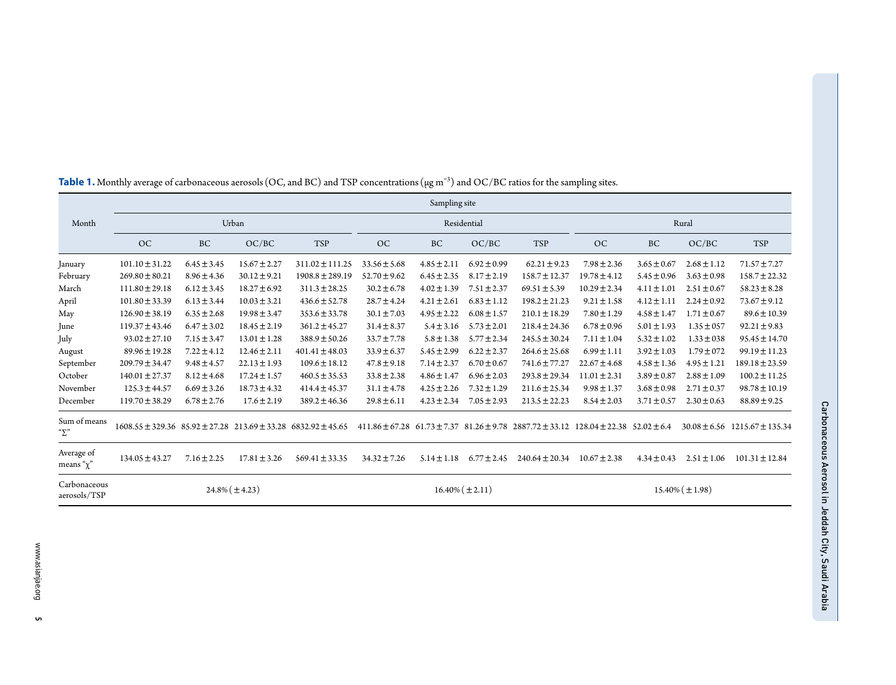|                                       | Sampling site                                                                 |                 |                  |                      |                  |                 |                      |                                                                                                             |                  |                 |                 |                                       |
|---------------------------------------|-------------------------------------------------------------------------------|-----------------|------------------|----------------------|------------------|-----------------|----------------------|-------------------------------------------------------------------------------------------------------------|------------------|-----------------|-----------------|---------------------------------------|
| Month                                 |                                                                               | Urban           |                  |                      | Residential      |                 |                      | Rural                                                                                                       |                  |                 |                 |                                       |
|                                       | OC                                                                            | <b>BC</b>       | OC/BC            | TSP                  | OC               | BC              | OC/BC                | <b>TSP</b>                                                                                                  | OC               | BC              | OC/BC           | <b>TSP</b>                            |
| January                               | $101.10 \pm 31.22$                                                            | $6.45 \pm 3.45$ | $15.67 \pm 2.27$ | $311.02 \pm 111.25$  | $33.56 \pm 5.68$ | $4.85 \pm 2.11$ | $6.92 \pm 0.99$      | $62.21 \pm 9.23$                                                                                            | $7.98 \pm 2.36$  | $3.65 \pm 0.67$ | $2.68 \pm 1.12$ | $71.57 \pm 7.27$                      |
| February                              | $269.80 \pm 80.21$                                                            | $8.96 \pm 4.36$ | $30.12 \pm 9.21$ | $1908.8 \pm 289.19$  | $52.70 \pm 9.62$ | $6.45 \pm 2.35$ | $8.17 \pm 2.19$      | $158.7 \pm 12.37$                                                                                           | $19.78 \pm 4.12$ | $5.45 \pm 0.96$ | $3.63 \pm 0.98$ | $158.7 \pm 22.32$                     |
| March                                 | $111.80 \pm 29.18$                                                            | $6.12 \pm 3.45$ | $18.27 \pm 6.92$ | $311.3 \pm 28.25$    | $30.2 \pm 6.78$  | $4.02 \pm 1.39$ | $7.51 \pm 2.37$      | $69.51 \pm 5.39$                                                                                            | $10.29 \pm 2.34$ | $4.11 \pm 1.01$ | $2.51 \pm 0.67$ | $58.23 \pm 8.28$                      |
| April                                 | $101.80 \pm 33.39$                                                            | $6.13 \pm 3.44$ | $10.03 \pm 3.21$ | $436.6 \pm 52.78$    | $28.7 \pm 4.24$  | $4.21 \pm 2.61$ | $6.83 \pm 1.12$      | $198.2 \pm 21.23$                                                                                           | $9.21 \pm 1.58$  | $4.12 \pm 1.11$ | $2.24 \pm 0.92$ | $73.67 \pm 9.12$                      |
| May                                   | $126.90 \pm 38.19$                                                            | $6.35 \pm 2.68$ | $19.98 \pm 3.47$ | $353.6 \pm 33.78$    | $30.1 \pm 7.03$  | $4.95 \pm 2.22$ | $6.08 \pm 1.57$      | $210.1 \pm 18.29$                                                                                           | $7.80 \pm 1.29$  | $4.58 \pm 1.47$ | $1.71 \pm 0.67$ | $89.6 \pm 10.39$                      |
| June                                  | $119.37 \pm 43.46$                                                            | $6.47 \pm 3.02$ | $18.45 \pm 2.19$ | $361.2 \pm 45.27$    | $31.4 \pm 8.37$  | $5.4 \pm 3.16$  | $5.73 \pm 2.01$      | $218.4 \pm 24.36$                                                                                           | $6.78 \pm 0.96$  | $5.01 \pm 1.93$ | $1.35 \pm 0.57$ | $92.21 \pm 9.83$                      |
| July                                  | $93.02 \pm 27.10$                                                             | $7.15 \pm 3.47$ | $13.01 \pm 1.28$ | $388.9 \pm 50.26$    | $33.7 \pm 7.78$  | $5.8 \pm 1.38$  | $5.77 \pm 2.34$      | $245.5 \pm 30.24$                                                                                           | $7.11 \pm 1.04$  | $5.32 \pm 1.02$ | $1.33 \pm 0.38$ | $95.45 \pm 14.70$                     |
| August                                | $89.96 \pm 19.28$                                                             | $7.22 \pm 4.12$ | $12.46 \pm 2.11$ | $401.41 \pm 48.03$   | $33.9 \pm 6.37$  | $5.45 \pm 2.99$ | $6.22 \pm 2.37$      | $264.6 \pm 25.68$                                                                                           | $6.99 \pm 1.11$  | $3.92 \pm 1.03$ | $1.79 \pm 072$  | $99.19 \pm 11.23$                     |
| September                             | $209.79 \pm 34.47$                                                            | $9.48 \pm 4.57$ | $22.13 \pm 1.93$ | $109.6 \pm 18.12$    | $47.8 \pm 9.18$  | $7.14 \pm 2.37$ | $6.70 \pm 0.67$      | $741.6 \pm 77.27$                                                                                           | $22.67 \pm 4.68$ | $4.58 \pm 1.36$ | $4.95 \pm 1.21$ | $189.18 \pm 23.59$                    |
| October                               | $140.01 \pm 27.37$                                                            | $8.12 \pm 4.68$ | $17.24 \pm 1.57$ | $460.5 \pm 35.53$    | $33.8 \pm 2.38$  | $4.86 \pm 1.47$ | $6.96 \pm 2.03$      | $293.8 \pm 29.34$                                                                                           | $11.01 \pm 2.31$ | $3.89 \pm 0.87$ | $2.88 \pm 1.09$ | $100.2 \pm 11.25$                     |
| November                              | $125.3 \pm 44.57$                                                             | $6.69 \pm 3.26$ | $18.73 \pm 4.32$ | $414.4 \pm 45.37$    | $31.1 \pm 4.78$  | $4.25 \pm 2.26$ | $7.32 \pm 1.29$      | $211.6 \pm 25.34$                                                                                           | $9.98 \pm 1.37$  | $3.68 \pm 0.98$ | $2.71 \pm 0.37$ | $98.78 \pm 10.19$                     |
| December                              | $119.70 \pm 38.29$                                                            | $6.78 \pm 2.76$ | $17.6 \pm 2.19$  | $389.2 \pm 46.36$    | $29.8 \pm 6.11$  | $4.23 \pm 2.34$ | $7.05 \pm 2.93$      | $213.5 \pm 22.23$                                                                                           | $8.54 \pm 2.03$  | $3.71 \pm 0.57$ | $2.30 \pm 0.63$ | $88.89 \pm 9.25$                      |
| Sum of means<br>$\mathbf{v}^{\prime}$ | $1608.55 \pm 329.36$ $85.92 \pm 27.28$ $213.69 \pm 33.28$ $6832.92 \pm 45.65$ |                 |                  |                      |                  |                 |                      | $411.86 \pm 67.28$ 61.73 $\pm 7.37$ 81.26 $\pm 9.78$ 2887.72 $\pm 33.12$ 128.04 $\pm 22.38$ 52.02 $\pm 6.4$ |                  |                 |                 | $30.08 \pm 6.56$ 1215.67 $\pm$ 135.34 |
| Average of<br>means " $\chi$ "        | $134.05 \pm 43.27$                                                            | $7.16 \pm 2.25$ | $17.81 \pm 3.26$ | $569.41 \pm 33.35$   | $34.32 \pm 7.26$ | $5.14 \pm 1.18$ | $6.77 \pm 2.45$      | $240.64 \pm 20.34$                                                                                          | $10.67 \pm 2.38$ | $4.34 \pm 0.43$ | $2.51 \pm 1.06$ | $101.31 \pm 12.84$                    |
| Carbonaceous<br>aerosols/TSP          | $24.8\% (\pm 4.23)$                                                           |                 |                  | $16.40\% (\pm 2.11)$ |                  |                 | $15.40\% (\pm 1.98)$ |                                                                                                             |                  |                 |                 |                                       |

| <b>Table 1.</b> Monthly average of carbonaceous aerosols (OC, and BC) and TSP concentrations ( $\mu$ g m <sup>-3</sup> ) and OC/BC ratios for the sampling sites. |  |  |
|-------------------------------------------------------------------------------------------------------------------------------------------------------------------|--|--|
|                                                                                                                                                                   |  |  |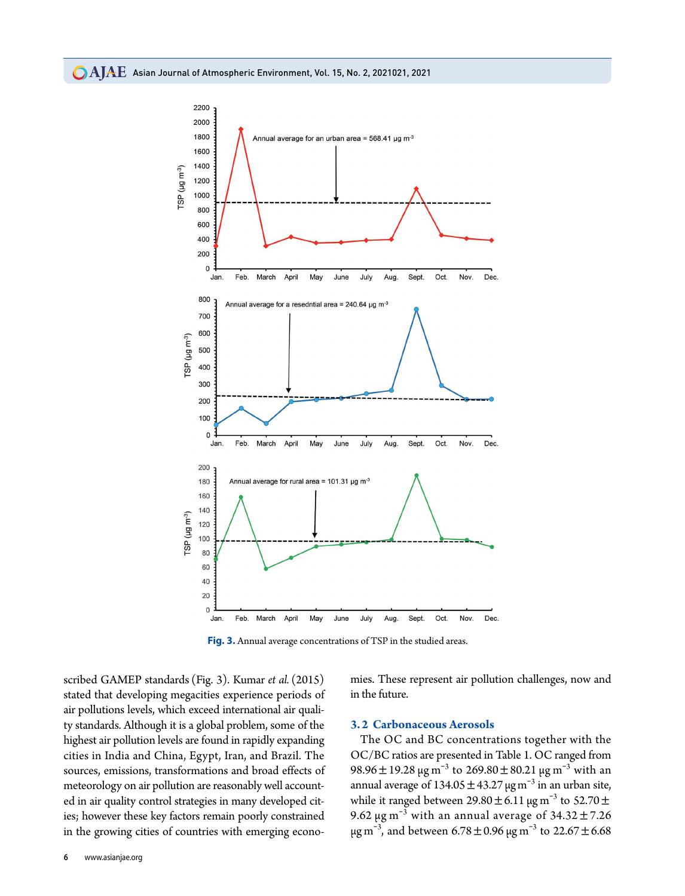

**Fig. 3.** Annual average concentrations of TSP in the studied areas.

scribed GAMEP standards (Fig. 3). Kumar *et al.* (2015) stated that developing megacities experience periods of air pollutions levels, which exceed international air quality standards. Although it is a global problem, some of the highest air pollution levels are found in rapidly expanding cities in India and China, Egypt, Iran, and Brazil. The sources, emissions, transformations and broad effects of meteorology on air pollution are reasonably well accounted in air quality control strategies in many developed cities; however these key factors remain poorly constrained in the growing cities of countries with emerging economies. These represent air pollution challenges, now and in the future.

#### **3.2 Carbonaceous Aerosols**

The OC and BC concentrations together with the OC/BC ratios are presented in Table 1. OC ranged from 98.96 ± 19.28 μg m<sup>-3</sup> to 269.80 ± 80.21 μg m<sup>-3</sup> with an annual average of  $134.05 \pm 43.27 \,\mu g\,\text{m}^{-3}$  in an urban site, while it ranged between  $29.80 \pm 6.11$   $\mu$ g m<sup>-3</sup> to  $52.70 \pm$ 9.62 μg m<sup>-3</sup> with an annual average of  $34.32 \pm 7.26$ μg m<sup>-3</sup>, and between 6.78 ± 0.96 μg m<sup>-3</sup> to 22.67 ± 6.68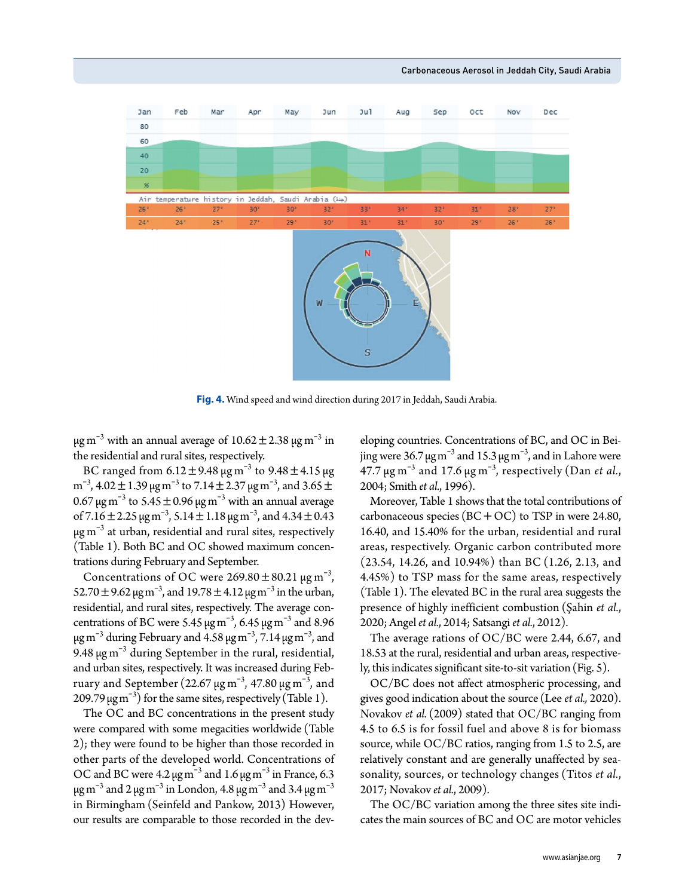

Carbonaceous Aerosol in Jeddah City, Saudi Arabia

**Fig. 4.** Wind speed and wind direction during 2017 in Jeddah, Saudi Arabia.

μg m<sup>-3</sup> with an annual average of  $10.62 \pm 2.38$  μg m<sup>-3</sup> in the residential and rural sites, respectively.

BC ranged from 6.12 $\pm$ 9.48 μg m $^{-3}$  to 9.48 $\pm$ 4.15 μg m<sup>-3</sup>, 4.02  $\pm$  1.39  $\mu$ g m<sup>-3</sup> to 7.14  $\pm$  2.37  $\mu$ g m<sup>-3</sup>, and 3.65  $\pm$ 0.67 μg m<sup>-3</sup> to 5.45  $\pm$  0.96 μg m<sup>-3</sup> with an annual average of 7.16  $\pm$  2.25  $\mu$ g m<sup>-3</sup>, 5.14  $\pm$  1.18  $\mu$ g m<sup>-3</sup>, and 4.34  $\pm$  0.43  $\mu$ g m $^{-3}$  at urban, residential and rural sites, respectively (Table 1). Both BC and OC showed maximum concentrations during February and September.

Concentrations of OC were  $269.80 \pm 80.21$   $\mu$ g m<sup>-3</sup>, 52.70 ± 9.62 μg m<sup>-3</sup>, and 19.78 ± 4.12 μg m<sup>-3</sup> in the urban, residential, and rural sites, respectively. The average concentrations of BC were 5.45  $\mu$ g m<sup>-3</sup>, 6.45  $\mu$ g m<sup>-3</sup> and 8.96 μg m<sup>-3</sup> during February and 4.58 μg m<sup>-3</sup>, 7.14 μg m<sup>-3</sup>, and 9.48  $\mu$ g m<sup>-3</sup> during September in the rural, residential, and urban sites, respectively. It was increased during February and September (22.67 μg m $^{-3}$ , 47.80 μg m $^{-3}$ , and 209.79  $\mu$ gm<sup>-3</sup>) for the same sites, respectively (Table 1).

The OC and BC concentrations in the present study were compared with some megacities worldwide (Table 2); they were found to be higher than those recorded in other parts of the developed world. Concentrations of OC and BC were  $4.2 \,\mathrm{\mu g\,m}^{-3}$  and  $1.6 \,\mathrm{\mu g\,m}^{-3}$  in France, 6.3 μg m $^{-3}$  and 2 μg m $^{-3}$  in London, 4.8 μg m $^{-3}$  and 3.4 μg m $^{-3}$ in Birmingham (Seinfeld and Pankow, 2013) However, our results are comparable to those recorded in the developing countries. Concentrations of BC, and OC in Beijing were 36.7 μg m<sup>-3</sup> and 15.3 μg m<sup>-3</sup>, and in Lahore were 47.7  $\mu$ g m<sup>-3</sup> and 17.6  $\mu$ g m<sup>-3</sup>, respectively (Dan *et al.*, 2004; Smith *et al.*, 1996).

Moreover, Table 1 shows that the total contributions of carbonaceous species  $(BC+OC)$  to TSP in were 24.80, 16.40, and 15.40% for the urban, residential and rural areas, respectively. Organic carbon contributed more (23.54, 14.26, and 10.94%) than BC (1.26, 2.13, and 4.45%) to TSP mass for the same areas, respectively (Table 1). The elevated BC in the rural area suggests the presence of highly inefficient combustion (Şahin *et al.*, 2020; Angel *et al.*, 2014; Satsangi *et al.*, 2012).

The average rations of OC/BC were 2.44, 6.67, and 18.53 at the rural, residential and urban areas, respectively, this indicates significant site-to-sit variation(Fig. 5).

OC/BC does not affect atmospheric processing, and gives good indication about the source (Lee *et al.,* 2020). Novakov *et al.* (2009) stated that OC/BC ranging from 4.5 to 6.5 is for fossil fuel and above 8 is for biomass source, while OC/BC ratios, ranging from 1.5 to 2.5, are relatively constant and are generally unaffected by seasonality, sources, or technology changes (Titos *et al.*, 2017; Novakov *et al.*, 2009).

The OC/BC variation among the three sites site indicates the main sources of BC and OC are motor vehicles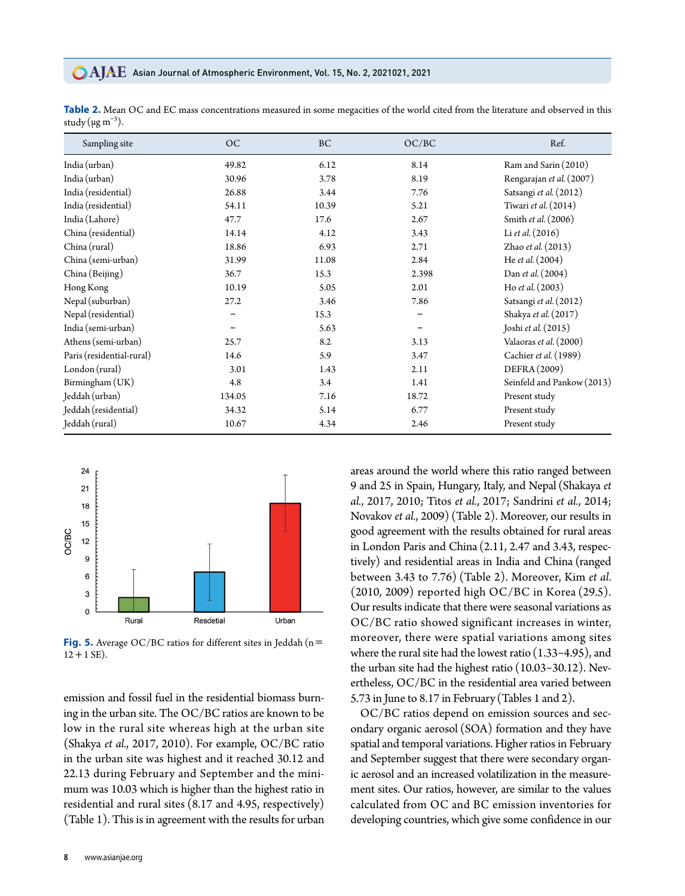#### **CAJAE** Asian Journal of Atmospheric Environment, Vol. 15, No. 2, 2021021, 2021

| Sampling site             | <b>OC</b> | <b>BC</b> | OC/BC                        | Ref.                       |
|---------------------------|-----------|-----------|------------------------------|----------------------------|
| India (urban)             | 49.82     | 6.12      | 8.14                         | Ram and Sarin (2010)       |
| India (urban)             | 30.96     | 3.78      | 8.19                         | Rengarajan et al. (2007)   |
| India (residential)       | 26.88     | 3.44      | 7.76                         | Satsangi et al. (2012)     |
| India (residential)       | 54.11     | 10.39     | 5.21                         | Tiwari et al. (2014)       |
| India (Lahore)            | 47.7      | 17.6      | 2.67                         | Smith et al. (2006)        |
| China (residential)       | 14.14     | 4.12      | 3.43                         | Li et al. $(2016)$         |
| China (rural)             | 18.86     | 6.93      | 2.71                         | Zhao et al. (2013)         |
| China (semi-urban)        | 31.99     | 11.08     | 2.84                         | He et al. (2004)           |
| China (Beijing)           | 36.7      | 15.3      | 2.398                        | Dan et al. (2004)          |
| Hong Kong                 | 10.19     | 5.05      | 2.01                         | Ho et al. $(2003)$         |
| Nepal (suburban)          | 27.2      | 3.46      | 7.86                         | Satsangi et al. (2012)     |
| Nepal (residential)       |           | 15.3      | $\qquad \qquad \blacksquare$ | Shakya et al. (2017)       |
| India (semi-urban)        |           | 5.63      |                              | Joshi et al. $(2015)$      |
| Athens (semi-urban)       | 25.7      | 8.2       | 3.13                         | Valaoras et al. (2000)     |
| Paris (residential-rural) | 14.6      | 5.9       | 3.47                         | Cachier et al. (1989)      |
| London (rural)            | 3.01      | 1.43      | 2.11                         | DEFRA(2009)                |
| Birmingham (UK)           | 4.8       | 3.4       | 1.41                         | Seinfeld and Pankow (2013) |
| Jeddah (urban)            | 134.05    | 7.16      | 18.72                        | Present study              |
| Jeddah (residential)      | 34.32     | 5.14      | 6.77                         | Present study              |
| Jeddah (rural)            | 10.67     | 4.34      | 2.46                         | Present study              |

**Table 2.** Mean OC and EC mass concentrations measured in some megacities of the world cited from the literature and observed in this study (μg m $^{-3}$ ).



**Fig. 5.** Average OC/BC ratios for different sites in Jeddah (n=  $12 + 1$  SE).

emission and fossil fuel in the residential biomass burning in the urban site. The OC/BC ratios are known to be low in the rural site whereas high at the urban site (Shakya *et al.*, 2017, 2010). For example, OC/BC ratio in the urban site was highest and it reached 30.12 and 22.13 during February and September and the minimum was 10.03 which is higher than the highest ratio in residential and rural sites (8.17 and 4.95, respectively) (Table 1). This is in agreement with the results for urban

areas around the world where this ratio ranged between 9 and 25 in Spain, Hungary, Italy, and Nepal (Shakaya *et al.*, 2017, 2010; Titos *et al.*, 2017; Sandrini *et al.*, 2014; Novakov *et al.*, 2009) (Table 2). Moreover, our results in good agreement with the results obtained for rural areas in London Paris and China (2.11, 2.47 and 3.43, respectively) and residential areas in India and China (ranged between 3.43 to 7.76) (Table 2). Moreover, Kim *et al.* (2010, 2009) reported high OC/BC in Korea (29.5). Our results indicate that there were seasonal variations as OC/BC ratio showed significant increases in winter, moreover, there were spatial variations among sites where the rural site had the lowest ratio(1.33-4.95), and the urban site had the highest ratio (10.03-30.12). Nevertheless, OC/BC in the residential area varied between 5.73 in June to 8.17 in February(Tables 1 and 2).

OC/BC ratios depend on emission sources and secondary organic aerosol (SOA) formation and they have spatial and temporal variations. Higher ratios in February and September suggest that there were secondary organic aerosol and an increased volatilization in the measurement sites. Our ratios, however, are similar to the values calculated from OC and BC emission inventories for developing countries, which give some confidence in our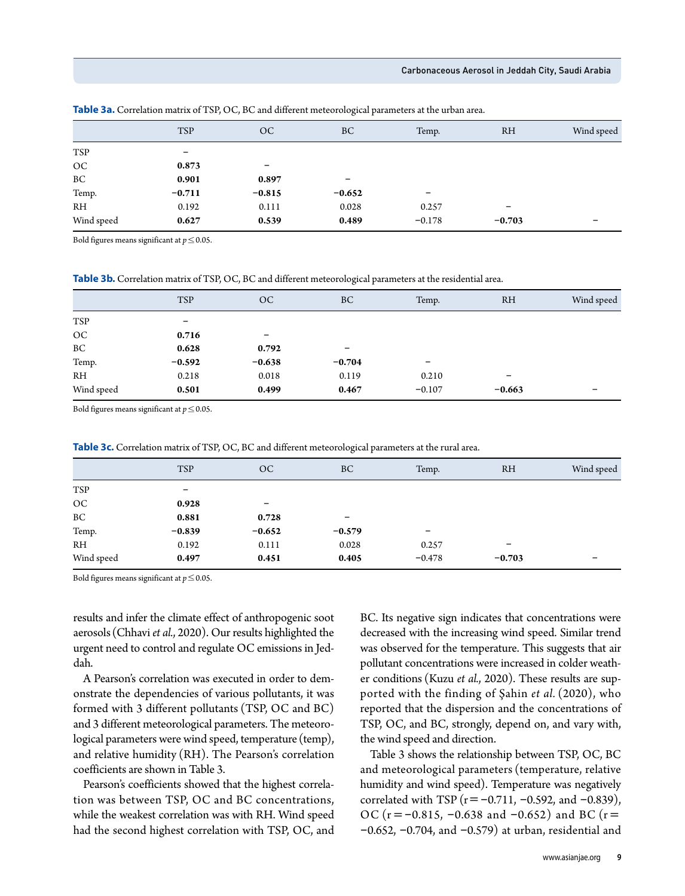#### Carbonaceous Aerosol in Jeddah City, Saudi Arabia

|                     | <b>TSP</b> | OC                       | <b>BC</b> | Temp.                    | <b>RH</b>         | Wind speed |
|---------------------|------------|--------------------------|-----------|--------------------------|-------------------|------------|
| TSP                 | -          |                          |           |                          |                   |            |
| OC                  | 0.873      | $\overline{\phantom{0}}$ |           |                          |                   |            |
| $\operatorname{BC}$ | 0.901      | 0.897                    | -         |                          |                   |            |
| Temp.               | $-0.711$   | $-0.815$                 | $-0.652$  | $\overline{\phantom{m}}$ |                   |            |
| R <sub>H</sub>      | 0.192      | 0.111                    | 0.028     | 0.257                    | $\qquad \qquad -$ |            |
| Wind speed          | 0.627      | 0.539                    | 0.489     | $-0.178$                 | $-0.703$          |            |
|                     |            |                          |           |                          |                   |            |

**Table 3a.** Correlation matrix of TSP, OC, BC and different meteorological parameters at the urban area.

Bold figures means significant at  $p \leq 0.05$ .

**Table 3b.** Correlation matrix of TSP, OC, BC and different meteorological parameters at the residential area.

|            | <b>TSP</b> | OC       | BC       | Temp.    | <b>RH</b> | Wind speed |
|------------|------------|----------|----------|----------|-----------|------------|
| <b>TSP</b> | -          |          |          |          |           |            |
| $OC$       | 0.716      | -        |          |          |           |            |
| $\rm BC$   | 0.628      | 0.792    | -        |          |           |            |
| Temp.      | $-0.592$   | $-0.638$ | $-0.704$ | -        |           |            |
| RH         | 0.218      | 0.018    | 0.119    | 0.210    | -         |            |
| Wind speed | 0.501      | 0.499    | 0.467    | $-0.107$ | $-0.663$  | -          |

Bold figures means significant at *p*≤0.05.

**Table 3c.** Correlation matrix of TSP, OC, BC and different meteorological parameters at the rural area.

|            | <b>TSP</b> | OC       | BC       | Temp.    | <b>RH</b>         | Wind speed |
|------------|------------|----------|----------|----------|-------------------|------------|
| <b>TSP</b> | -          |          |          |          |                   |            |
| OC         | 0.928      | -        |          |          |                   |            |
| BC         | 0.881      | 0.728    | -        |          |                   |            |
| Temp.      | $-0.839$   | $-0.652$ | $-0.579$ | -        |                   |            |
| RH         | 0.192      | 0.111    | 0.028    | 0.257    | $\qquad \qquad -$ |            |
| Wind speed | 0.497      | 0.451    | 0.405    | $-0.478$ | $-0.703$          |            |

Bold figures means significant at *p*≤0.05.

results and infer the climate effect of anthropogenic soot aerosols (Chhavi *et al.*, 2020). Our results highlighted the urgent need to control and regulate OC emissions in Jeddah.

A Pearson's correlation was executed in order to demonstrate the dependencies of various pollutants, it was formed with 3 different pollutants (TSP, OC and BC) and 3 different meteorological parameters. The meteorological parameters were wind speed, temperature (temp), and relative humidity (RH). The Pearson's correlation coefficients are shown in Table 3.

Pearson's coefficients showed that the highest correlation was between TSP, OC and BC concentrations, while the weakest correlation was with RH. Wind speed had the second highest correlation with TSP, OC, and BC. Its negative sign indicates that concentrations were decreased with the increasing wind speed. Similar trend was observed for the temperature. This suggests that air pollutant concentrations were increased in colder weather conditions (Kuzu *et al.*, 2020). These results are supported with the finding of Şahin *et al.* (2020), who reported that the dispersion and the concentrations of TSP, OC, and BC, strongly, depend on, and vary with, the wind speed and direction.

Table 3 shows the relationship between TSP, OC, BC and meteorological parameters (temperature, relative humidity and wind speed). Temperature was negatively correlated with TSP ( $r = -0.711$ ,  $-0.592$ , and  $-0.839$ ), OC ( $r = -0.815$ ,  $-0.638$  and  $-0.652$ ) and BC ( $r =$  $-0.652$ ,  $-0.704$ , and  $-0.579$ ) at urban, residential and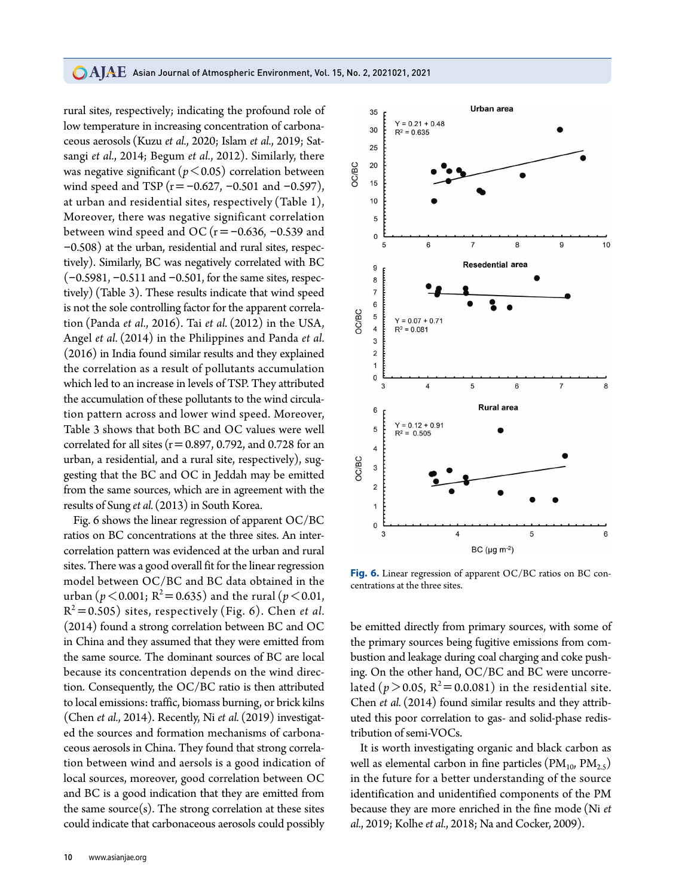### **CAJAE** Asian Journal of Atmospheric Environment, Vol. 15, No. 2, 2021021, 2021

rural sites, respectively; indicating the profound role of low temperature in increasing concentration of carbonaceous aerosols (Kuzu *et al.*, 2020; Islam *et al.*, 2019; Satsangi *et al.*, 2014; Begum *et al.*, 2012). Similarly, there was negative significant ( $p < 0.05$ ) correlation between wind speed and TSP ( $r = -0.627$ ,  $-0.501$  and  $-0.597$ ), at urban and residential sites, respectively (Table 1), Moreover, there was negative significant correlation between wind speed and OC ( $r = -0.636$ ,  $-0.539$  and -0.508) at the urban, residential and rural sites, respectively). Similarly, BC was negatively correlated with BC  $(-0.5981, -0.511, 0.501, 0.501, 0.501)$  for the same sites, respectively) (Table 3). These results indicate that wind speed is not the sole controlling factor for the apparent correlation (Panda *et al.*, 2016). Tai *et al.* (2012) in the USA, Angel *et al.* (2014) in the Philippines and Panda *et al.* (2016) in India found similar results and they explained the correlation as a result of pollutants accumulation which led to an increase in levels of TSP. They attributed the accumulation of these pollutants to the wind circulation pattern across and lower wind speed. Moreover, Table 3 shows that both BC and OC values were well correlated for all sites ( $r=0.897$ , 0.792, and 0.728 for an urban, a residential, and a rural site, respectively), suggesting that the BC and OC in Jeddah may be emitted from the same sources, which are in agreement with the results of Sung *et al.* (2013) in South Korea.

Fig. 6 shows the linear regression of apparent OC/BC ratios on BC concentrations at the three sites. An intercorrelation pattern was evidenced at the urban and rural sites. There was a good overall fit for the linear regression model between OC/BC and BC data obtained in the urban ( $p < 0.001$ ;  $R^2 = 0.635$ ) and the rural ( $p < 0.01$ ,  $R^2$ =0.505) sites, respectively (Fig. 6). Chen *et al.* (2014) found a strong correlation between BC and OC in China and they assumed that they were emitted from the same source. The dominant sources of BC are local because its concentration depends on the wind direction. Consequently, the OC/BC ratio is then attributed to local emissions: traffic, biomass burning, or brick kilns (Chen *et al.*, 2014). Recently, Ni *et al.* (2019) investigated the sources and formation mechanisms of carbonaceous aerosols in China. They found that strong correlation between wind and aersols is a good indication of local sources, moreover, good correlation between OC and BC is a good indication that they are emitted from the same source $(s)$ . The strong correlation at these sites could indicate that carbonaceous aerosols could possibly



Urban area

 $10$ 

 $\mathbf{r}$ 

 $\epsilon$ 

35

 $Y = 0.21 + 0.48$ 

**Fig. 6.** Linear regression of apparent OC/BC ratios on BC concentrations at the three sites.

be emitted directly from primary sources, with some of the primary sources being fugitive emissions from combustion and leakage during coal charging and coke pushing. On the other hand, OC/BC and BC were uncorrelated ( $p > 0.05$ ,  $R^2 = 0.0.081$ ) in the residential site. Chen *et al.* (2014) found similar results and they attributed this poor correlation to gas- and solid-phase redistribution of semi-VOCs.

It is worth investigating organic and black carbon as well as elemental carbon in fine particles ( $\text{PM}_{10}$ ,  $\text{PM}_{2.5}$ ) in the future for a better understanding of the source identification and unidentified components of the PM because they are more enriched in the fine mode (Ni *et al.*, 2019; Kolhe *et al.*, 2018; Na and Cocker, 2009).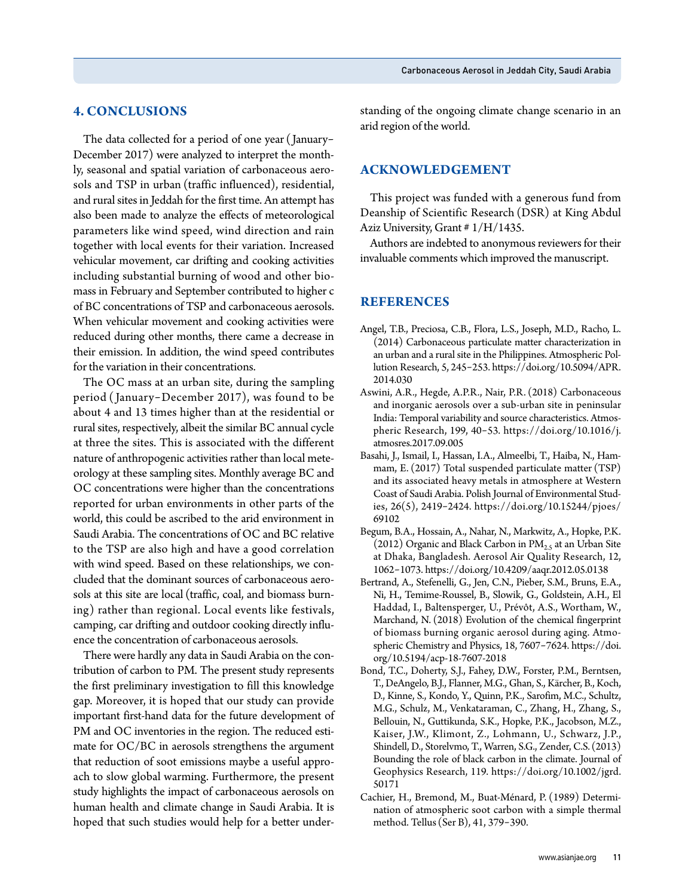## **4. CONCLUSIONS**

The data collected for a period of one year ( January-December 2017) were analyzed to interpret the monthly, seasonal and spatial variation of carbonaceous aerosols and TSP in urban (traffic influenced), residential, and rural sites in Jeddah for the first time. An attempt has also been made to analyze the effects of meteorological parameters like wind speed, wind direction and rain together with local events for their variation. Increased vehicular movement, car drifting and cooking activities including substantial burning of wood and other biomass in February and September contributed to higher c of BC concentrations of TSP and carbonaceous aerosols. When vehicular movement and cooking activities were reduced during other months, there came a decrease in their emission. In addition, the wind speed contributes for the variation in their concentrations.

The OC mass at an urban site, during the sampling period ( January-December 2017), was found to be about 4 and 13 times higher than at the residential or rural sites, respectively, albeit the similar BC annual cycle at three the sites. This is associated with the different nature of anthropogenic activities rather than local meteorology at these sampling sites. Monthly average BC and OC concentrations were higher than the concentrations reported for urban environments in other parts of the world, this could be ascribed to the arid environment in Saudi Arabia. The concentrations of OC and BC relative to the TSP are also high and have a good correlation with wind speed. Based on these relationships, we concluded that the dominant sources of carbonaceous aerosols at this site are local (traffic, coal, and biomass burning) rather than regional. Local events like festivals, camping, car drifting and outdoor cooking directly influence the concentration of carbonaceous aerosols.

There were hardly any data in Saudi Arabia on the contribution of carbon to PM. The present study represents the first preliminary investigation to fill this knowledge gap. Moreover, it is hoped that our study can provide important first-hand data for the future development of PM and OC inventories in the region. The reduced estimate for OC/BC in aerosols strengthens the argument that reduction of soot emissions maybe a useful approach to slow global warming. Furthermore, the present study highlights the impact of carbonaceous aerosols on human health and climate change in Saudi Arabia. It is hoped that such studies would help for a better understanding of the ongoing climate change scenario in an arid region of the world.

## **ACKNOWLEDGEMENT**

This project was funded with a generous fund from Deanship of Scientific Research (DSR) at King Abdul Aziz University, Grant # 1/H/1435.

Authors are indebted to anonymous reviewers for their invaluable comments which improved the manuscript.

## **REFERENCES**

- Angel, T.B., Preciosa, C.B., Flora, L.S., Joseph, M.D., Racho, L. (2014) Carbonaceous particulate matter characterization in an urban and a rural site in the Philippines. Atmospheric Pollution Research, 5, 245-253. https://doi.org/10.5094/APR. 2014.030
- Aswini, A.R., Hegde, A.P.R., Nair, P.R. (2018) Carbonaceous and inorganic aerosols over a sub-urban site in peninsular India: Temporal variability and source characteristics. Atmospheric Research, 199, 40-53. https://doi.org/10.1016/j. atmosres.2017.09.005
- Basahi, J., Ismail, I., Hassan, I.A., Almeelbi, T., Haiba, N., Hammam, E. (2017) Total suspended particulate matter (TSP) and its associated heavy metals in atmosphere at Western Coast of Saudi Arabia. Polish Journal of Environmental Studies, 26(5), 2419-2424. https://doi.org/10.15244/pjoes/ 69102
- Begum, B.A., Hossain, A., Nahar, N., Markwitz, A., Hopke, P.K. (2012) Organic and Black Carbon in  $PM_{2.5}$  at an Urban Site at Dhaka, Bangladesh. Aerosol Air Quality Research, 12, 1062-1073. https://doi.org/10.4209/aaqr.2012.05.0138
- Bertrand, A., Stefenelli, G., Jen, C.N., Pieber, S.M., Bruns, E.A., Ni, H., Temime-Roussel, B., Slowik, G., Goldstein, A.H., El Haddad, I., Baltensperger, U., Prévôt, A.S., Wortham, W., Marchand, N. (2018) Evolution of the chemical fingerprint of biomass burning organic aerosol during aging. Atmospheric Chemistry and Physics, 18, 7607-7624. https://doi. org/10.5194/acp-18-7607-2018
- Bond, T.C., Doherty, S.J., Fahey, D.W., Forster, P.M., Berntsen, T., DeAngelo, B.J., Flanner, M.G., Ghan, S., Kärcher, B., Koch, D., Kinne, S., Kondo, Y., Quinn, P.K., Sarofim, M.C., Schultz, M.G., Schulz, M., Venkataraman, C., Zhang, H., Zhang, S., Bellouin, N., Guttikunda, S.K., Hopke, P.K., Jacobson, M.Z., Kaiser, J.W., Klimont, Z., Lohmann, U., Schwarz, J.P., Shindell, D., Storelvmo, T., Warren, S.G., Zender, C.S. (2013) Bounding the role of black carbon in the climate. Journal of Geophysics Research, 119. https://doi.org/10.1002/jgrd. 50171
- Cachier, H., Bremond, M., Buat-Ménard, P. (1989) Determination of atmospheric soot carbon with a simple thermal method. Tellus (Ser B), 41, 379-390.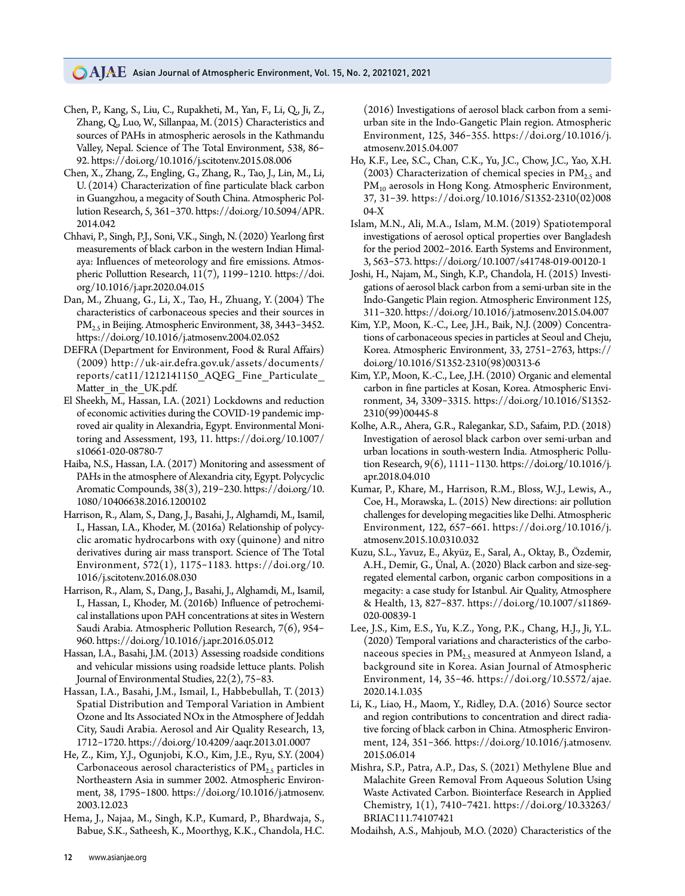- Chen, P., Kang, S., Liu, C., Rupakheti, M., Yan, F., Li, Q., Ji, Z., Zhang, Q., Luo, W., Sillanpaa, M. (2015) Characteristics and sources of PAHs in atmospheric aerosols in the Kathmandu Valley, Nepal. Science of The Total Environment, 538, 86- 92. https://doi.org/10.1016/j.scitotenv.2015.08.006
- Chen, X., Zhang, Z., Engling, G., Zhang, R., Tao, J., Lin, M., Li, U. (2014) Characterization of fine particulate black carbon in Guangzhou, a megacity of South China. Atmospheric Pollution Research, 5, 361-370. https://doi.org/10.5094/APR. 2014.042
- Chhavi, P., Singh, P.J., Soni, V.K., Singh, N. (2020) Yearlong first measurements of black carbon in the western Indian Himalaya: Influences of meteorology and fire emissions. Atmospheric Polluttion Research, 11(7), 1199-1210. https://doi. org/10.1016/j.apr.2020.04.015
- Dan, M., Zhuang, G., Li, X., Tao, H., Zhuang, Y. (2004) The characteristics of carbonaceous species and their sources in PM<sub>2.5</sub> in Beijing. Atmospheric Environment, 38, 3443-3452. https://doi.org/10.1016/j.atmosenv.2004.02.052
- DEFRA (Department for Environment, Food & Rural Affairs) (2009) http://uk-air.defra.gov.uk/assets/documents/ reports/cat11/1212141150\_AQEG\_Fine\_Particulate\_ Matter in the UK.pdf.
- El Sheekh, M., Hassan, I.A. (2021) Lockdowns and reduction of economic activities during the COVID-19 pandemic improved air quality in Alexandria, Egypt. Environmental Monitoring and Assessment, 193, 11. https://doi.org/10.1007/ s10661-020-08780-7
- Haiba, N.S., Hassan, I.A. (2017) Monitoring and assessment of PAHs in the atmosphere of Alexandria city, Egypt. Polycyclic Aromatic Compounds, 38(3), 219-230. https://doi.org/10. 1080/10406638.2016.1200102
- Harrison, R., Alam, S., Dang, J., Basahi, J., Alghamdi, M., Isamil, I., Hassan, I.A., Khoder, M. (2016a) Relationship of polycyclic aromatic hydrocarbons with oxy (quinone) and nitro derivatives during air mass transport. Science of The Total Environment, 572(1), 1175-1183. https://doi.org/10. 1016/j.scitotenv.2016.08.030
- Harrison, R., Alam, S., Dang, J., Basahi, J., Alghamdi, M., Isamil, I., Hassan, I., Khoder, M. (2016b) Influence of petrochemical installations upon PAH concentrations at sites in Western Saudi Arabia. Atmospheric Pollution Research, 7(6), 954- 960. https://doi.org/10.1016/j.apr.2016.05.012
- Hassan, I.A., Basahi, J.M. (2013) Assessing roadside conditions and vehicular missions using roadside lettuce plants. Polish Journal of Environmental Studies, 22(2), 75-83.
- Hassan, I.A., Basahi, J.M., Ismail, I., Habbebullah, T. (2013) Spatial Distribution and Temporal Variation in Ambient Ozone and Its Associated NOx in the Atmosphere of Jeddah City, Saudi Arabia. Aerosol and Air Quality Research, 13, 1712-1720. https://doi.org/10.4209/aaqr.2013.01.0007
- He, Z., Kim, Y.J., Ogunjobi, K.O., Kim, J.E., Ryu, S.Y. (2004) Carbonaceous aerosol characteristics of  $PM_{2.5}$  particles in Northeastern Asia in summer 2002. Atmospheric Environment, 38, 1795-1800. https://doi.org/10.1016/j.atmosenv. 2003.12.023
- Hema, J., Najaa, M., Singh, K.P., Kumard, P., Bhardwaja, S., Babue, S.K., Satheesh, K., Moorthyg, K.K., Chandola, H.C.

(2016) Investigations of aerosol black carbon from a semiurban site in the Indo-Gangetic Plain region. Atmospheric Environment, 125, 346-355. https://doi.org/10.1016/j. atmosenv.2015.04.007

- Ho, K.F., Lee, S.C., Chan, C.K., Yu, J.C., Chow, J.C., Yao, X.H. (2003) Characterization of chemical species in  $PM_{2.5}$  and PM<sub>10</sub> aerosols in Hong Kong. Atmospheric Environment, 37, 31-39. https://doi.org/10.1016/S1352-2310(02)008 04-X
- Islam, M.N., Ali, M.A., Islam, M.M. (2019) Spatiotemporal investigations of aerosol optical properties over Bangladesh for the period 2002-2016. Earth Systems and Environment, 3, 563-573. https://doi.org/10.1007/s41748-019-00120-1
- Joshi, H., Najam, M., Singh, K.P., Chandola, H. (2015) Investigations of aerosol black carbon from a semi-urban site in the Indo-Gangetic Plain region. Atmospheric Environment 125, 311-320. https://doi.org/10.1016/j.atmosenv.2015.04.007
- Kim, Y.P., Moon, K.-C., Lee, J.H., Baik, N.J. (2009) Concentrations of carbonaceous species in particles at Seoul and Cheju, Korea. Atmospheric Environment, 33, 2751-2763, https:// doi.org/10.1016/S1352-2310(98)00313-6
- Kim, Y.P., Moon, K.-C., Lee, J.H. (2010) Organic and elemental carbon in fine particles at Kosan, Korea. Atmospheric Environment, 34, 3309-3315. https://doi.org/10.1016/S1352- 2310(99)00445-8
- Kolhe, A.R., Ahera, G.R., Ralegankar, S.D., Safaim, P.D. (2018) Investigation of aerosol black carbon over semi-urban and urban locations in south-western India. Atmospheric Pollution Research, 9(6), 1111-1130. https://doi.org/10.1016/j. apr.2018.04.010
- Kumar, P., Khare, M., Harrison, R.M., Bloss, W.J., Lewis, A., Coe, H., Morawska, L. (2015) New directions: air pollution challenges for developing megacities like Delhi. Atmospheric Environment, 122, 657-661. https://doi.org/10.1016/j. atmosenv.2015.10.0310.032
- Kuzu, S.L., Yavuz, E., Akyüz, E., Saral, A., Oktay, B., Özdemir, A.H., Demir, G., Ünal, A. (2020) Black carbon and size-segregated elemental carbon, organic carbon compositions in a megacity: a case study for Istanbul. Air Quality, Atmosphere & Health, 13, 827-837. https://doi.org/10.1007/s11869- 020-00839-1
- Lee, J.S., Kim, E.S., Yu, K.Z., Yong, P.K., Chang, H.J., Ji, Y.L. (2020) Temporal variations and characteristics of the carbonaceous species in  $PM_{2.5}$  measured at Anmyeon Island, a background site in Korea. Asian Journal of Atmospheric Environment, 14, 35-46. https://doi.org/10.5572/ajae. 2020.14.1.035
- Li, K., Liao, H., Maom, Y., Ridley, D.A. (2016) Source sector and region contributions to concentration and direct radiative forcing of black carbon in China. Atmospheric Environment, 124, 351-366. https://doi.org/10.1016/j.atmosenv. 2015.06.014
- Mishra, S.P., Patra, A.P., Das, S. (2021) Methylene Blue and Malachite Green Removal From Aqueous Solution Using Waste Activated Carbon. Biointerface Research in Applied Chemistry, 1(1), 7410-7421. https://doi.org/10.33263/ BRIAC111.74107421

Modaihsh, A.S., Mahjoub, M.O. (2020) Characteristics of the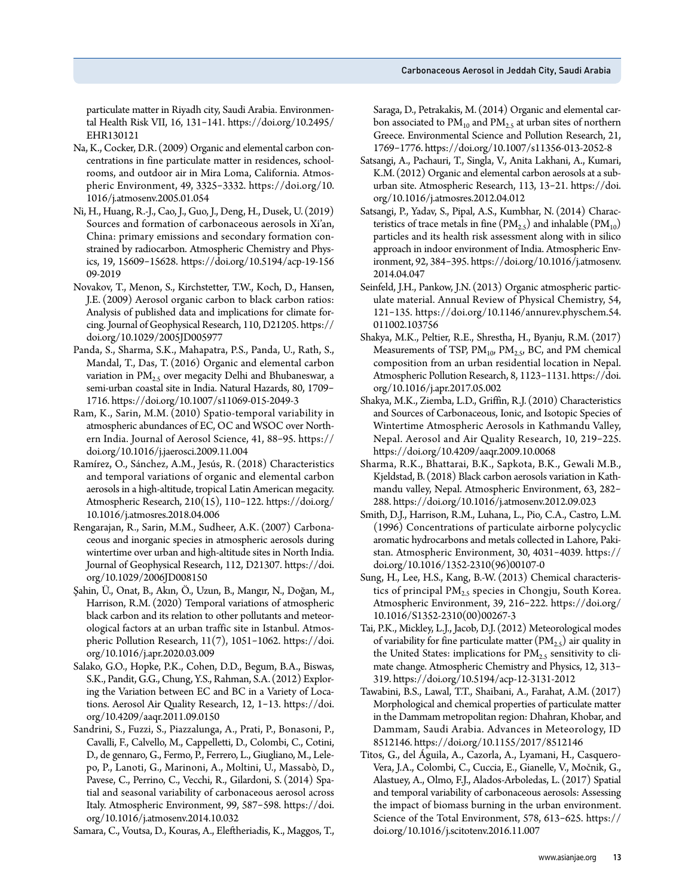particulate matter in Riyadh city, Saudi Arabia. Environmental Health Risk VII, 16, 131-141. https://doi.org/10.2495/ EHR130121

- Na, K., Cocker, D.R. (2009) Organic and elemental carbon concentrations in fine particulate matter in residences, schoolrooms, and outdoor air in Mira Loma, California. Atmospheric Environment, 49, 3325-3332. https://doi.org/10. 1016/j.atmosenv.2005.01.054
- Ni, H., Huang, R.-J., Cao, J., Guo, J., Deng, H., Dusek, U. (2019) Sources and formation of carbonaceous aerosols in Xi'an, China: primary emissions and secondary formation constrained by radiocarbon. Atmospheric Chemistry and Physics, 19, 15609-15628. https://doi.org/10.5194/acp-19-156 09-2019
- Novakov, T., Menon, S., Kirchstetter, T.W., Koch, D., Hansen, J.E. (2009) Aerosol organic carbon to black carbon ratios: Analysis of published data and implications for climate forcing. Journal of Geophysical Research, 110, D21205. https:// doi.org/10.1029/2005JD005977
- Panda, S., Sharma, S.K., Mahapatra, P.S., Panda, U., Rath, S., Mandal, T., Das, T. (2016) Organic and elemental carbon variation in  $PM<sub>2.5</sub>$  over megacity Delhi and Bhubaneswar, a semi-urban coastal site in India. Natural Hazards, 80, 1709- 1716. https://doi.org/10.1007/s11069-015-2049-3
- Ram, K., Sarin, M.M. (2010) Spatio-temporal variability in atmospheric abundances of EC, OC and WSOC over Northern India. Journal of Aerosol Science, 41, 88-95. https:// doi.org/10.1016/j.jaerosci.2009.11.004
- Ramírez, O., Sánchez, A.M., Jesús, R. (2018) Characteristics and temporal variations of organic and elemental carbon aerosols in a high-altitude, tropical Latin American megacity. Atmospheric Research, 210(15), 110-122. https://doi.org/ 10.1016/j.atmosres.2018.04.006
- Rengarajan, R., Sarin, M.M., Sudheer, A.K. (2007) Carbonaceous and inorganic species in atmospheric aerosols during wintertime over urban and high-altitude sites in North India. Journal of Geophysical Research, 112, D21307. https://doi. org/10.1029/2006JD008150
- Şahin, Ü., Onat, B., Akın, Ö., Uzun, B., Mangır, N., Doğan, M., Harrison, R.M. (2020) Temporal variations of atmospheric black carbon and its relation to other pollutants and meteorological factors at an urban traffic site in Istanbul. Atmospheric Pollution Research, 11(7), 1051-1062. https://doi. org/10.1016/j.apr.2020.03.009
- Salako, G.O., Hopke, P.K., Cohen, D.D., Begum, B.A., Biswas, S.K., Pandit, G.G., Chung, Y.S., Rahman, S.A. (2012) Exploring the Variation between EC and BC in a Variety of Locations. Aerosol Air Quality Research, 12, 1-13. https://doi. org/10.4209/aaqr.2011.09.0150
- Sandrini, S., Fuzzi, S., Piazzalunga, A., Prati, P., Bonasoni, P., Cavalli, F., Calvello, M., Cappelletti, D., Colombi, C., Cotini, D., de gennaro, G., Fermo, P., Ferrero, L., Giugliano, M., Lelepo, P., Lanoti, G., Marinoni, A., Moltini, U., Massabò, D., Pavese, C., Perrino, C., Vecchi, R., Gilardoni, S. (2014) Spatial and seasonal variability of carbonaceous aerosol across Italy. Atmospheric Environment, 99, 587-598. https://doi. org/10.1016/j.atmosenv.2014.10.032

Samara, C., Voutsa, D., Kouras, A., Eleftheriadis, K., Maggos, T.,

Saraga, D., Petrakakis, M. (2014) Organic and elemental carbon associated to  $PM_{10}$  and  $PM_{2.5}$  at urban sites of northern Greece. Environmental Science and Pollution Research, 21, 1769-1776. https://doi.org/10.1007/s11356-013-2052-8

- Satsangi, A., Pachauri, T., Singla, V., Anita Lakhani, A., Kumari, K.M. (2012) Organic and elemental carbon aerosols at a suburban site. Atmospheric Research, 113, 13-21. https://doi. org/10.1016/j.atmosres.2012.04.012
- Satsangi, P., Yadav, S., Pipal, A.S., Kumbhar, N. (2014) Characteristics of trace metals in fine  $(PM_{2.5})$  and inhalable  $(PM_{10})$ particles and its health risk assessment along with in silico approach in indoor environment of India. Atmospheric Environment, 92, 384-395. https://doi.org/10.1016/j.atmosenv. 2014.04.047
- Seinfeld, J.H., Pankow, J.N. (2013) Organic atmospheric particulate material. Annual Review of Physical Chemistry, 54, 121-135. https://doi.org/10.1146/annurev.physchem.54. 011002.103756
- Shakya, M.K., Peltier, R.E., Shrestha, H., Byanju, R.M. (2017) Measurements of TSP,  $PM_{10}$ ,  $PM_{2.5}$ , BC, and PM chemical composition from an urban residential location in Nepal. Atmospheric Pollution Research, 8, 1123-1131. https://doi. org/10.1016/j.apr.2017.05.002
- Shakya, M.K., Ziemba, L.D., Griffin, R.J. (2010) Characteristics and Sources of Carbonaceous, Ionic, and Isotopic Species of Wintertime Atmospheric Aerosols in Kathmandu Valley, Nepal. Aerosol and Air Quality Research, 10, 219-225. https://doi.org/10.4209/aaqr.2009.10.0068
- Sharma, R.K., Bhattarai, B.K., Sapkota, B.K., Gewali M.B., Kjeldstad, B. (2018) Black carbon aerosols variation in Kathmandu valley, Nepal. Atmospheric Environment, 63, 282- 288. https://doi.org/10.1016/j.atmosenv.2012.09.023
- Smith, D.J., Harrison, R.M., Luhana, L., Pio, C.A., Castro, L.M. (1996) Concentrations of particulate airborne polycyclic aromatic hydrocarbons and metals collected in Lahore, Pakistan. Atmospheric Environment, 30, 4031-4039. https:// doi.org/10.1016/1352-2310(96)00107-0
- Sung, H., Lee, H.S., Kang, B.-W. (2013) Chemical characteristics of principal  $PM_{2.5}$  species in Chongju, South Korea. Atmospheric Environment, 39, 216-222. https://doi.org/ 10.1016/S1352-2310(00)00267-3
- Tai, P.K., Mickley, L.J., Jacob, D.J. (2012) Meteorological modes of variability for fine particulate matter  $(PM_{2.5})$  air quality in the United States: implications for  $PM_2$ , sensitivity to climate change. Atmospheric Chemistry and Physics, 12, 313- 319. https://doi.org/10.5194/acp-12-3131-2012
- Tawabini, B.S., Lawal, T.T., Shaibani, A., Farahat, A.M. (2017) Morphological and chemical properties of particulate matter in the Dammam metropolitan region: Dhahran, Khobar, and Dammam, Saudi Arabia. Advances in Meteorology, ID 8512146. https://doi.org/10.1155/2017/8512146
- Titos, G., del Águila, A., Cazorla, A., Lyamani, H., Casquero-Vera, J.A., Colombi, C., Cuccia, E., Gianelle, V., Močnik, G., Alastuey, A., Olmo, F.J., Alados-Arboledas, L. (2017) Spatial and temporal variability of carbonaceous aerosols: Assessing the impact of biomass burning in the urban environment. Science of the Total Environment, 578, 613-625. https:// doi.org/10.1016/j.scitotenv.2016.11.007